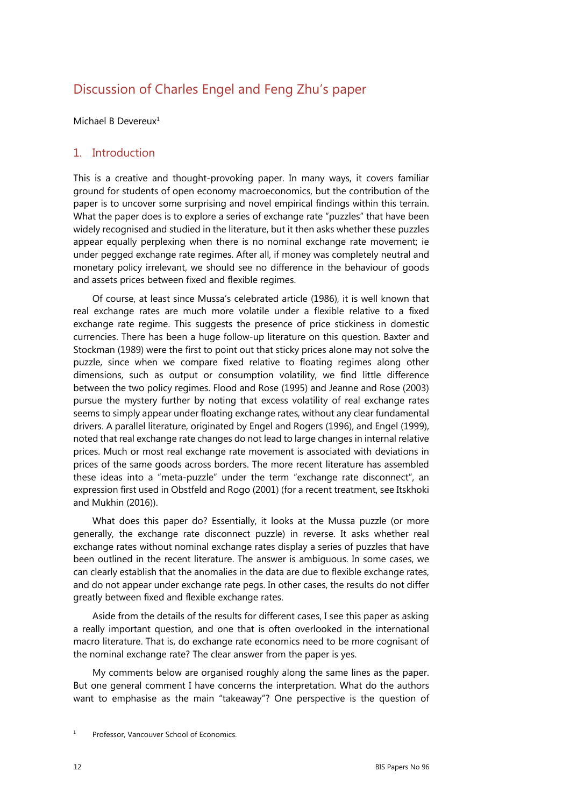# Discussion of Charles Engel and Feng Zhu's paper

Michael B Devereux<sup>1</sup>

# 1. Introduction

This is a creative and thought-provoking paper. In many ways, it covers familiar ground for students of open economy macroeconomics, but the contribution of the paper is to uncover some surprising and novel empirical findings within this terrain. What the paper does is to explore a series of exchange rate "puzzles" that have been widely recognised and studied in the literature, but it then asks whether these puzzles appear equally perplexing when there is no nominal exchange rate movement; ie under pegged exchange rate regimes. After all, if money was completely neutral and monetary policy irrelevant, we should see no difference in the behaviour of goods and assets prices between fixed and flexible regimes.

Of course, at least since Mussa's celebrated article (1986), it is well known that real exchange rates are much more volatile under a flexible relative to a fixed exchange rate regime. This suggests the presence of price stickiness in domestic currencies. There has been a huge follow-up literature on this question. Baxter and Stockman (1989) were the first to point out that sticky prices alone may not solve the puzzle, since when we compare fixed relative to floating regimes along other dimensions, such as output or consumption volatility, we find little difference between the two policy regimes. Flood and Rose (1995) and Jeanne and Rose (2003) pursue the mystery further by noting that excess volatility of real exchange rates seems to simply appear under floating exchange rates, without any clear fundamental drivers. A parallel literature, originated by Engel and Rogers (1996), and Engel (1999), noted that real exchange rate changes do not lead to large changes in internal relative prices. Much or most real exchange rate movement is associated with deviations in prices of the same goods across borders. The more recent literature has assembled these ideas into a "meta-puzzle" under the term "exchange rate disconnect", an expression first used in Obstfeld and Rogo (2001) (for a recent treatment, see Itskhoki and Mukhin (2016)).

What does this paper do? Essentially, it looks at the Mussa puzzle (or more generally, the exchange rate disconnect puzzle) in reverse. It asks whether real exchange rates without nominal exchange rates display a series of puzzles that have been outlined in the recent literature. The answer is ambiguous. In some cases, we can clearly establish that the anomalies in the data are due to flexible exchange rates, and do not appear under exchange rate pegs. In other cases, the results do not differ greatly between fixed and flexible exchange rates.

Aside from the details of the results for different cases, I see this paper as asking a really important question, and one that is often overlooked in the international macro literature. That is, do exchange rate economics need to be more cognisant of the nominal exchange rate? The clear answer from the paper is yes.

My comments below are organised roughly along the same lines as the paper. But one general comment I have concerns the interpretation. What do the authors want to emphasise as the main "takeaway"? One perspective is the question of

<sup>1</sup> Professor, Vancouver School of Economics.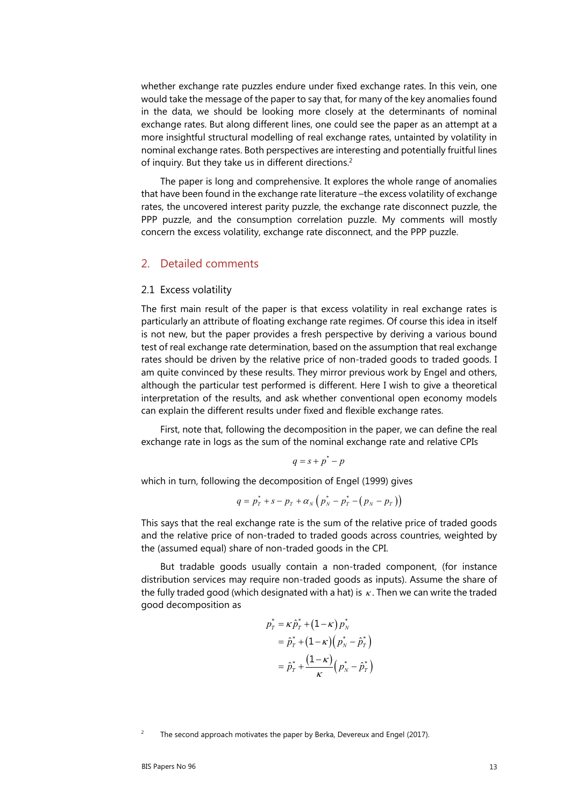whether exchange rate puzzles endure under fixed exchange rates. In this vein, one would take the message of the paper to say that, for many of the key anomalies found in the data, we should be looking more closely at the determinants of nominal exchange rates. But along different lines, one could see the paper as an attempt at a more insightful structural modelling of real exchange rates, untainted by volatility in nominal exchange rates. Both perspectives are interesting and potentially fruitful lines of inquiry. But they take us in different directions.<sup>2</sup>

The paper is long and comprehensive. It explores the whole range of anomalies that have been found in the exchange rate literature –the excess volatility of exchange rates, the uncovered interest parity puzzle, the exchange rate disconnect puzzle, the PPP puzzle, and the consumption correlation puzzle. My comments will mostly concern the excess volatility, exchange rate disconnect, and the PPP puzzle.

#### 2. Detailed comments

#### 2.1 Excess volatility

The first main result of the paper is that excess volatility in real exchange rates is particularly an attribute of floating exchange rate regimes. Of course this idea in itself is not new, but the paper provides a fresh perspective by deriving a various bound test of real exchange rate determination, based on the assumption that real exchange rates should be driven by the relative price of non-traded goods to traded goods. I am quite convinced by these results. They mirror previous work by Engel and others, although the particular test performed is different. Here I wish to give a theoretical interpretation of the results, and ask whether conventional open economy models can explain the different results under fixed and flexible exchange rates.

First, note that, following the decomposition in the paper, we can define the real exchange rate in logs as the sum of the nominal exchange rate and relative CPIs

$$
q = s + p^* - p
$$

which in turn, following the decomposition of Engel (1999) gives

$$
q = p_T^* + s - p_T + \alpha_N (p_N^* - p_T^* - (p_N - p_T))
$$

This says that the real exchange rate is the sum of the relative price of traded goods and the relative price of non-traded to traded goods across countries, weighted by the (assumed equal) share of non-traded goods in the CPI.

But tradable goods usually contain a non-traded component, (for instance distribution services may require non-traded goods as inputs). Assume the share of the fully traded good (which designated with a hat) is  $\kappa$ . Then we can write the traded good decomposition as

$$
\begin{aligned} p_{T}^* &= \kappa \hat{p}_T^* + \left(1 - \kappa\right) p_N^* \\ &= \hat{p}_T^* + \left(1 - \kappa\right) \left(p_N^* - \hat{p}_T^*\right) \\ &= \hat{p}_T^* + \frac{\left(1 - \kappa\right)}{\kappa} \left(p_N^* - \hat{p}_T^*\right) \end{aligned}
$$

 $\overline{2}$ The second approach motivates the paper by Berka, Devereux and Engel (2017).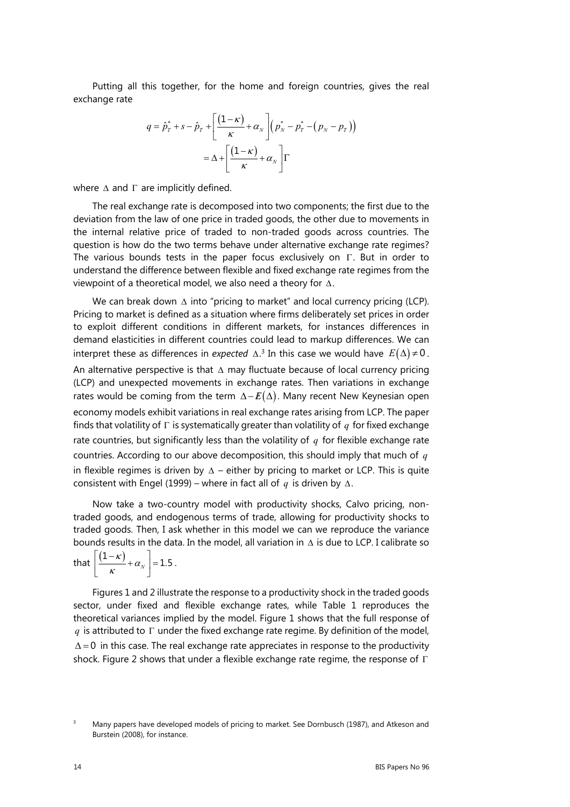Putting all this together, for the home and foreign countries, gives the real exchange rate

$$
q = \hat{p}_T^* + s - \hat{p}_T + \left[ \frac{(1 - \kappa)}{\kappa} + \alpha_N \right] (p_N^* - p_T^* - (p_N - p_T))
$$

$$
= \Delta + \left[ \frac{(1 - \kappa)}{\kappa} + \alpha_N \right] \Gamma
$$

where  $\Delta$  and  $\Gamma$  are implicitly defined.

The real exchange rate is decomposed into two components; the first due to the deviation from the law of one price in traded goods, the other due to movements in the internal relative price of traded to non-traded goods across countries. The question is how do the two terms behave under alternative exchange rate regimes? The various bounds tests in the paper focus exclusively on  $\Gamma$ . But in order to understand the difference between flexible and fixed exchange rate regimes from the viewpoint of a theoretical model, we also need a theory for  $\Delta$ .

We can break down  $\Delta$  into "pricing to market" and local currency pricing (LCP). Pricing to market is defined as a situation where firms deliberately set prices in order to exploit different conditions in different markets, for instances differences in demand elasticities in different countries could lead to markup differences. We can interpret these as differences in *expected*  $\Delta$ .<sup>3</sup> In this case we would have  $E(\Delta) \neq 0$ . An alternative perspective is that  $\Delta$  may fluctuate because of local currency pricing (LCP) and unexpected movements in exchange rates. Then variations in exchange rates would be coming from the term  $\Delta - E(\Delta)$ . Many recent New Keynesian open economy models exhibit variations in real exchange rates arising from LCP. The paper finds that volatility of  $\Gamma$  is systematically greater than volatility of  $q$  for fixed exchange rate countries, but significantly less than the volatility of *q* for flexible exchange rate countries. According to our above decomposition, this should imply that much of *q* in flexible regimes is driven by  $\Delta$  – either by pricing to market or LCP. This is quite consistent with Engel (1999) – where in fact all of  $q$  is driven by  $\Delta$ .

Now take a two-country model with productivity shocks, Calvo pricing, nontraded goods, and endogenous terms of trade, allowing for productivity shocks to traded goods. Then, I ask whether in this model we can we reproduce the variance bounds results in the data. In the model, all variation in  $\Delta$  is due to LCP. I calibrate so

that  $\left| \frac{(1-\kappa)}{\kappa} + \alpha_{\scriptscriptstyle N} \right| = 1.$  $\begin{bmatrix} & k & \\ & & \end{bmatrix}$  $\frac{(1-\kappa)}{2} + \alpha_{N}$  = 1.5.

Figures 1 and 2 illustrate the response to a productivity shock in the traded goods sector, under fixed and flexible exchange rates, while Table 1 reproduces the theoretical variances implied by the model. Figure 1 shows that the full response of *q* is attributed to  $\Gamma$  under the fixed exchange rate regime. By definition of the model,  $\Delta = 0$  in this case. The real exchange rate appreciates in response to the productivity shock. Figure 2 shows that under a flexible exchange rate regime, the response of  $\Gamma$ 

<sup>3</sup> Many papers have developed models of pricing to market. See Dornbusch (1987), and Atkeson and Burstein (2008), for instance.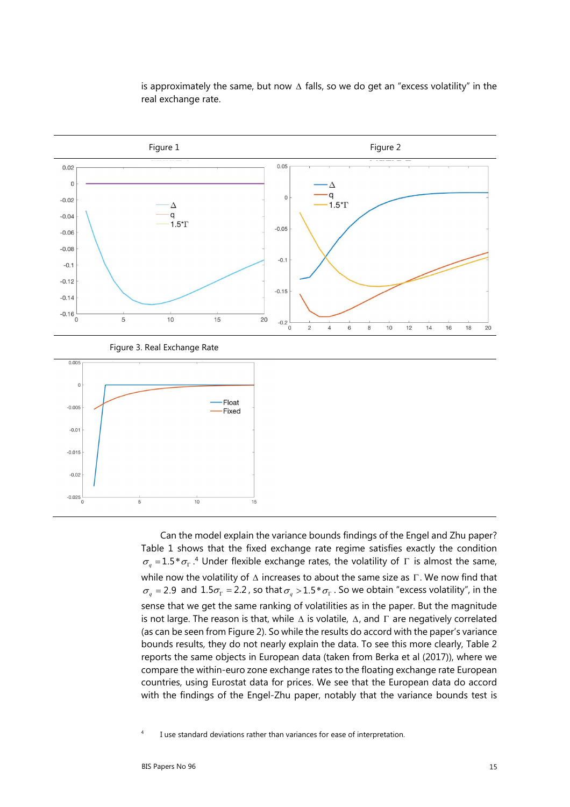

is approximately the same, but now  $\Delta$  falls, so we do get an "excess volatility" in the real exchange rate.

Can the model explain the variance bounds findings of the Engel and Zhu paper? Table 1 shows that the fixed exchange rate regime satisfies exactly the condition  $\sigma_q = 1.5 * \sigma_r$ .<sup>4</sup> Under flexible exchange rates, the volatility of  $\Gamma$  is almost the same, while now the volatility of  $\Delta$  increases to about the same size as  $\Gamma$ . We now find that  $\sigma_q = 2.9$  and  $1.5\sigma_{\Gamma} = 2.2$ , so that  $\sigma_q > 1.5 * \sigma_{\Gamma}$ . So we obtain "excess volatility", in the sense that we get the same ranking of volatilities as in the paper. But the magnitude is not large. The reason is that, while  $\Delta$  is volatile,  $\Delta$ , and  $\Gamma$  are negatively correlated (as can be seen from Figure 2). So while the results do accord with the paper's variance bounds results, they do not nearly explain the data. To see this more clearly, Table 2 reports the same objects in European data (taken from Berka et al (2017)), where we compare the within-euro zone exchange rates to the floating exchange rate European countries, using Eurostat data for prices. We see that the European data do accord with the findings of the Engel-Zhu paper, notably that the variance bounds test is

4 I use standard deviations rather than variances for ease of interpretation.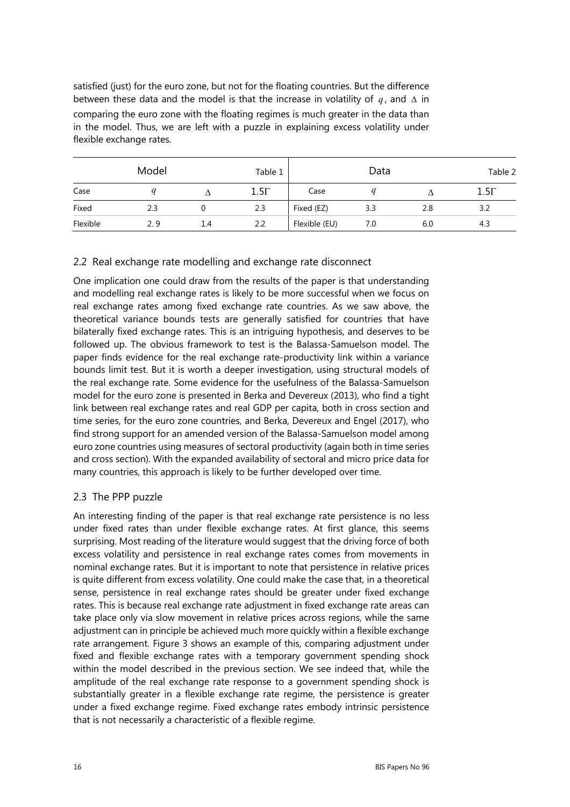satisfied (just) for the euro zone, but not for the floating countries. But the difference between these data and the model is that the increase in volatility of  $q$ , and  $\Delta$  in comparing the euro zone with the floating regimes is much greater in the data than in the model. Thus, we are left with a puzzle in explaining excess volatility under flexible exchange rates.

| Model    |      |     | Table 1     | Data          |     |     | Table 2     |
|----------|------|-----|-------------|---------------|-----|-----|-------------|
| Case     |      |     | $1.5\Gamma$ | Case          |     |     | $1.5\Gamma$ |
| Fixed    | 2.3  |     | 2.3         | Fixed (EZ)    | 3.3 | 2.8 | 3.2         |
| Flexible | 2. 9 | 1.4 | 2.2         | Flexible (EU) | 7.0 | 6.0 | 4.3         |

# 2.2 Real exchange rate modelling and exchange rate disconnect

One implication one could draw from the results of the paper is that understanding and modelling real exchange rates is likely to be more successful when we focus on real exchange rates among fixed exchange rate countries. As we saw above, the theoretical variance bounds tests are generally satisfied for countries that have bilaterally fixed exchange rates. This is an intriguing hypothesis, and deserves to be followed up. The obvious framework to test is the Balassa-Samuelson model. The paper finds evidence for the real exchange rate-productivity link within a variance bounds limit test. But it is worth a deeper investigation, using structural models of the real exchange rate. Some evidence for the usefulness of the Balassa-Samuelson model for the euro zone is presented in Berka and Devereux (2013), who find a tight link between real exchange rates and real GDP per capita, both in cross section and time series, for the euro zone countries, and Berka, Devereux and Engel (2017), who find strong support for an amended version of the Balassa-Samuelson model among euro zone countries using measures of sectoral productivity (again both in time series and cross section). With the expanded availability of sectoral and micro price data for many countries, this approach is likely to be further developed over time.

# 2.3 The PPP puzzle

An interesting finding of the paper is that real exchange rate persistence is no less under fixed rates than under flexible exchange rates. At first glance, this seems surprising. Most reading of the literature would suggest that the driving force of both excess volatility and persistence in real exchange rates comes from movements in nominal exchange rates. But it is important to note that persistence in relative prices is quite different from excess volatility. One could make the case that, in a theoretical sense, persistence in real exchange rates should be greater under fixed exchange rates. This is because real exchange rate adjustment in fixed exchange rate areas can take place only via slow movement in relative prices across regions, while the same adjustment can in principle be achieved much more quickly within a flexible exchange rate arrangement. Figure 3 shows an example of this, comparing adjustment under fixed and flexible exchange rates with a temporary government spending shock within the model described in the previous section. We see indeed that, while the amplitude of the real exchange rate response to a government spending shock is substantially greater in a flexible exchange rate regime, the persistence is greater under a fixed exchange regime. Fixed exchange rates embody intrinsic persistence that is not necessarily a characteristic of a flexible regime.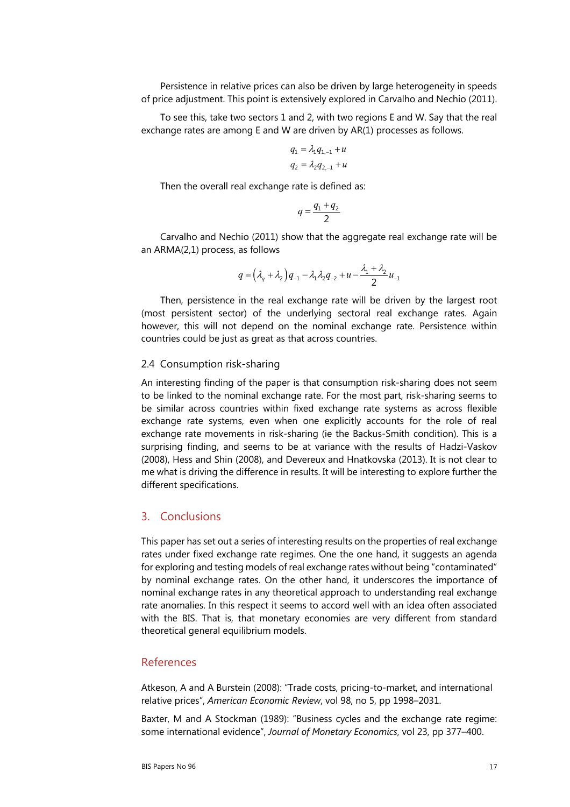Persistence in relative prices can also be driven by large heterogeneity in speeds of price adjustment. This point is extensively explored in Carvalho and Nechio (2011).

To see this, take two sectors 1 and 2, with two regions E and W. Say that the real exchange rates are among E and W are driven by AR(1) processes as follows.

$$
q_1 = \lambda_1 q_{1,-1} + u
$$
  

$$
q_2 = \lambda_2 q_{2,-1} + u
$$

Then the overall real exchange rate is defined as:

$$
q = \frac{q_1 + q_2}{2}
$$

Carvalho and Nechio (2011) show that the aggregate real exchange rate will be an ARMA(2,1) process, as follows

$$
q = (\lambda_q + \lambda_2)q_{-1} - \lambda_1 \lambda_2 q_{-2} + u - \frac{\lambda_1 + \lambda_2}{2}u_{-1}
$$

Then, persistence in the real exchange rate will be driven by the largest root (most persistent sector) of the underlying sectoral real exchange rates. Again however, this will not depend on the nominal exchange rate. Persistence within countries could be just as great as that across countries.

## 2.4 Consumption risk-sharing

An interesting finding of the paper is that consumption risk-sharing does not seem to be linked to the nominal exchange rate. For the most part, risk-sharing seems to be similar across countries within fixed exchange rate systems as across flexible exchange rate systems, even when one explicitly accounts for the role of real exchange rate movements in risk-sharing (ie the Backus-Smith condition). This is a surprising finding, and seems to be at variance with the results of Hadzi-Vaskov (2008), Hess and Shin (2008), and Devereux and Hnatkovska (2013). It is not clear to me what is driving the difference in results. It will be interesting to explore further the different specifications.

## 3. Conclusions

This paper has set out a series of interesting results on the properties of real exchange rates under fixed exchange rate regimes. One the one hand, it suggests an agenda for exploring and testing models of real exchange rates without being "contaminated" by nominal exchange rates. On the other hand, it underscores the importance of nominal exchange rates in any theoretical approach to understanding real exchange rate anomalies. In this respect it seems to accord well with an idea often associated with the BIS. That is, that monetary economies are very different from standard theoretical general equilibrium models.

## References

Atkeson, A and A Burstein (2008): "Trade costs, pricing-to-market, and international relative prices", *American Economic Review*, vol 98, no 5, pp 1998–2031.

Baxter, M and A Stockman (1989): "Business cycles and the exchange rate regime: some international evidence", *Journal of Monetary Economics*, vol 23, pp 377–400.